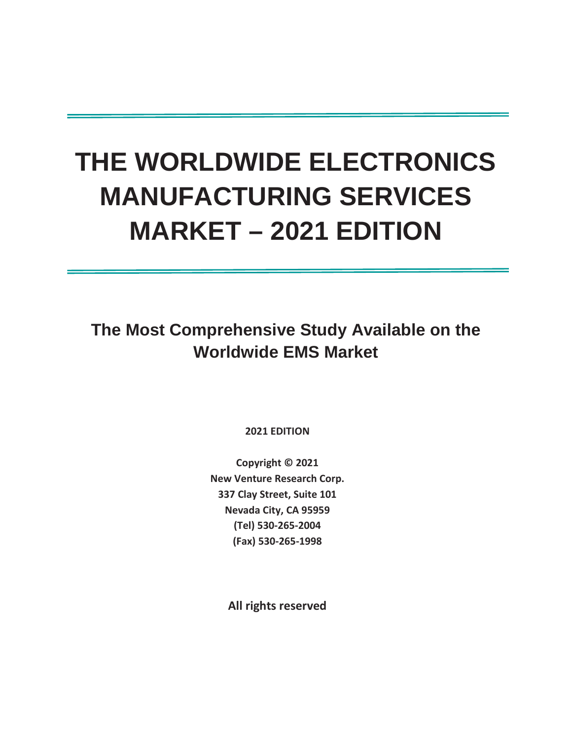# **THE WORLDWIDE ELECTRONICS MANUFACTURING SERVICES MARKET – 2021 EDITION**

**The Most Comprehensive Study Available on the Worldwide EMS Market**

**2021 EDITION** 

**Copyright © 2021 New Venture Research Corp. 337 Clay Street, Suite 101 Nevada City, CA 95959 (Tel) 530-265-2004 (Fax) 530-265-1998** 

**All rights reserved**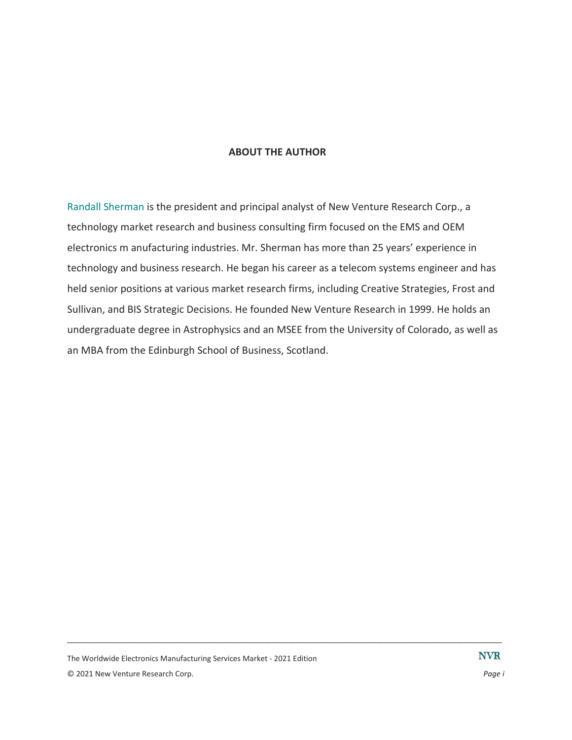#### **ABOUT THE AUTHOR**

Randall Sherman is the president and principal analyst of New Venture Research Corp., a technology market research and business consulting firm focused on the EMS and OEM electronics m anufacturing industries. Mr. Sherman has more than 25 years' experience in technology and business research. He began his career as a telecom systems engineer and has held senior positions at various market research firms, including Creative Strategies, Frost and Sullivan, and BIS Strategic Decisions. He founded New Venture Research in 1999. He holds an undergraduate degree in Astrophysics and an MSEE from the University of Colorado, as well as an MBA from the Edinburgh School of Business, Scotland.

 $\Box$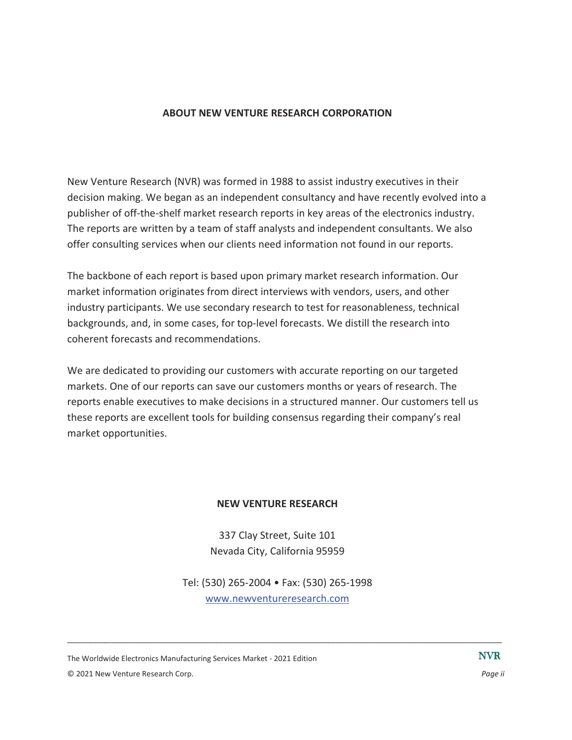#### **ABOUT NEW VENTURE RESEARCH CORPORATION**

New Venture Research (NVR) was formed in 1988 to assist industry executives in their decision making. We began as an independent consultancy and have recently evolved into a publisher of off-the-shelf market research reports in key areas of the electronics industry. The reports are written by a team of staff analysts and independent consultants. We also offer consulting services when our clients need information not found in our reports.

The backbone of each report is based upon primary market research information. Our market information originates from direct interviews with vendors, users, and other industry participants. We use secondary research to test for reasonableness, technical backgrounds, and, in some cases, for top-level forecasts. We distill the research into coherent forecasts and recommendations.

We are dedicated to providing our customers with accurate reporting on our targeted markets. One of our reports can save our customers months or years of research. The reports enable executives to make decisions in a structured manner. Our customers tell us these reports are excellent tools for building consensus regarding their company's real market opportunities.

#### **NEW VENTURE RESEARCH**

337 Clay Street, Suite 101 Nevada City, California 95959

Tel: (530) 265-2004 • Fax: (530) 265-1998 www.newventureresearch.com

 $\Box$ 

The Worldwide Electronics Manufacturing Services Market - 2021 Edition © 2021 New Venture Research Corp. *Page ii*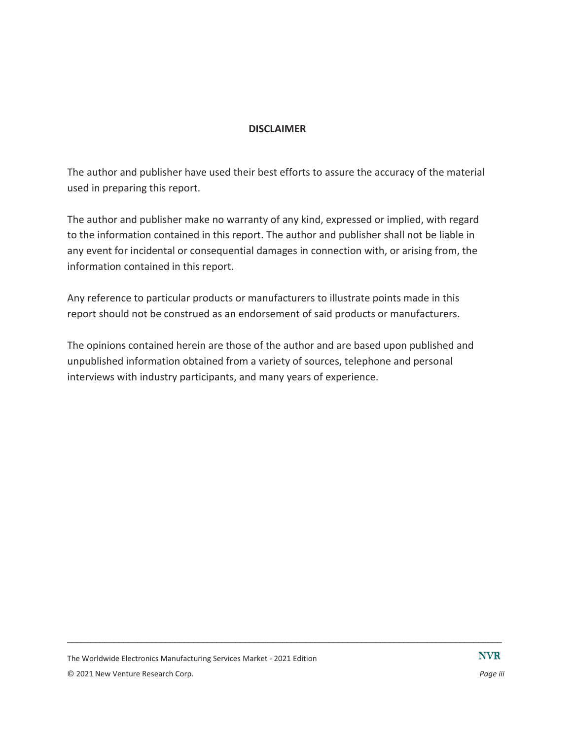#### **DISCLAIMER**

The author and publisher have used their best efforts to assure the accuracy of the material used in preparing this report.

The author and publisher make no warranty of any kind, expressed or implied, with regard to the information contained in this report. The author and publisher shall not be liable in any event for incidental or consequential damages in connection with, or arising from, the information contained in this report.

Any reference to particular products or manufacturers to illustrate points made in this report should not be construed as an endorsement of said products or manufacturers.

The opinions contained herein are those of the author and are based upon published and unpublished information obtained from a variety of sources, telephone and personal interviews with industry participants, and many years of experience.

 $\Box$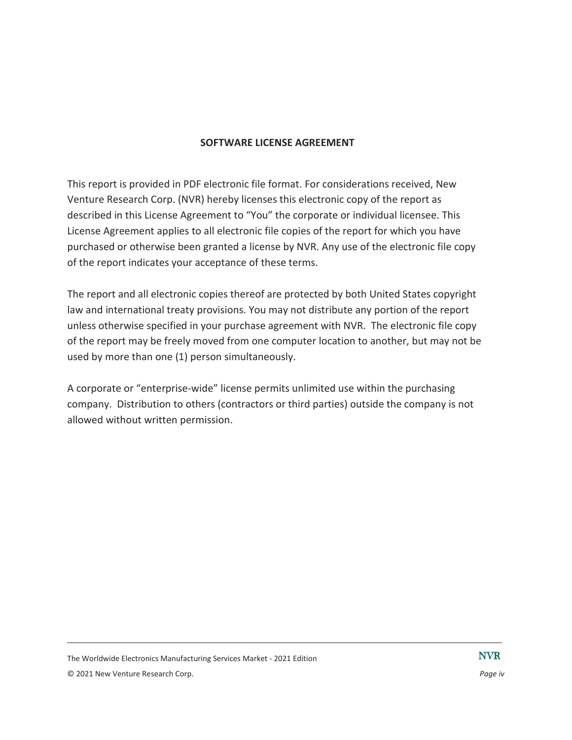#### **SOFTWARE LICENSE AGREEMENT**

This report is provided in PDF electronic file format. For considerations received, New Venture Research Corp. (NVR) hereby licenses this electronic copy of the report as described in this License Agreement to "You" the corporate or individual licensee. This License Agreement applies to all electronic file copies of the report for which you have purchased or otherwise been granted a license by NVR. Any use of the electronic file copy of the report indicates your acceptance of these terms.

The report and all electronic copies thereof are protected by both United States copyright law and international treaty provisions. You may not distribute any portion of the report unless otherwise specified in your purchase agreement with NVR. The electronic file copy of the report may be freely moved from one computer location to another, but may not be used by more than one (1) person simultaneously.

A corporate or "enterprise-wide" license permits unlimited use within the purchasing company. Distribution to others (contractors or third parties) outside the company is not allowed without written permission.

 $\Box$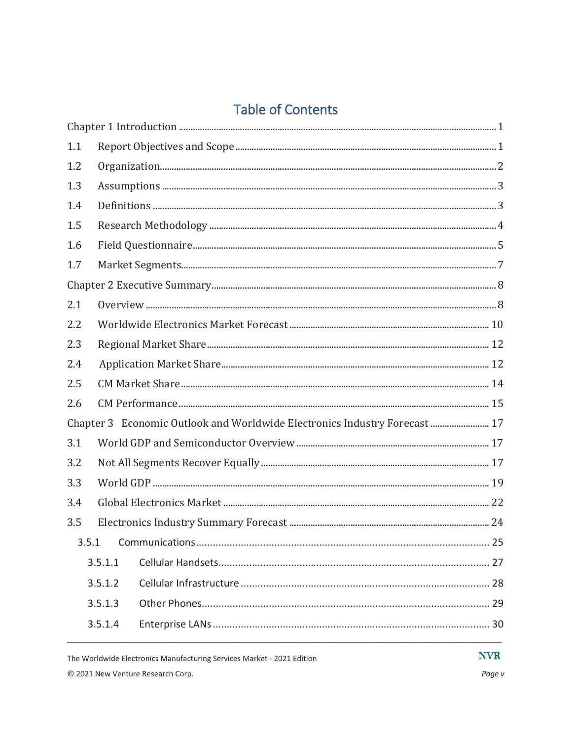# **Table of Contents**

| 1.1 |                                                                            |  |
|-----|----------------------------------------------------------------------------|--|
| 1.2 |                                                                            |  |
| 1.3 |                                                                            |  |
| 1.4 |                                                                            |  |
| 1.5 |                                                                            |  |
| 1.6 |                                                                            |  |
| 1.7 |                                                                            |  |
|     |                                                                            |  |
| 2.1 |                                                                            |  |
| 2.2 |                                                                            |  |
| 2.3 |                                                                            |  |
| 2.4 |                                                                            |  |
| 2.5 |                                                                            |  |
| 2.6 |                                                                            |  |
|     | Chapter 3 Economic Outlook and Worldwide Electronics Industry Forecast  17 |  |
| 3.1 |                                                                            |  |
| 3.2 |                                                                            |  |
| 3.3 |                                                                            |  |
| 3.4 |                                                                            |  |
| 3.5 |                                                                            |  |
|     | 3.5.1                                                                      |  |
|     | 3.5.1.1                                                                    |  |
|     | 3.5.1.2                                                                    |  |
|     | 3.5.1.3                                                                    |  |
|     | 3.5.1.4                                                                    |  |
|     |                                                                            |  |

The Worldwide Electronics Manufacturing Services Market - 2021 Edition © 2021 New Venture Research Corp.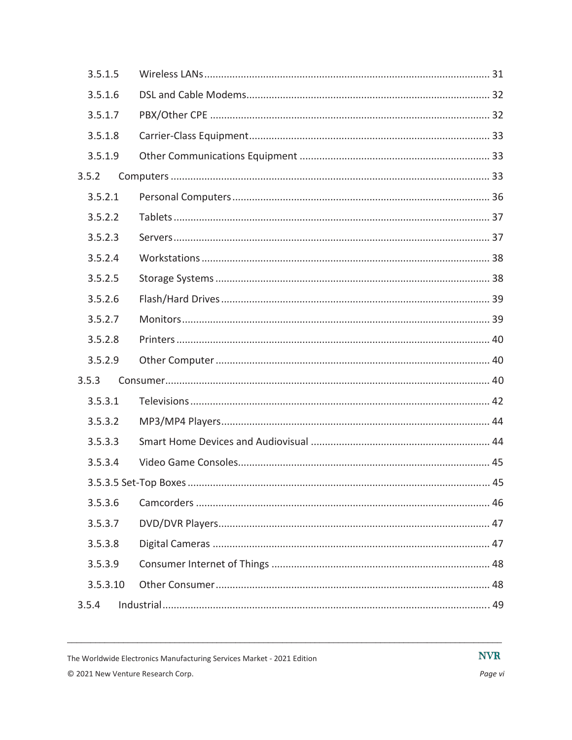| 3.5.1.5  |  |
|----------|--|
| 3.5.1.6  |  |
| 3.5.1.7  |  |
| 3.5.1.8  |  |
| 3.5.1.9  |  |
| 3.5.2    |  |
| 3.5.2.1  |  |
| 3.5.2.2  |  |
| 3.5.2.3  |  |
| 3.5.2.4  |  |
| 3.5.2.5  |  |
| 3.5.2.6  |  |
| 3.5.2.7  |  |
| 3.5.2.8  |  |
| 3.5.2.9  |  |
| 3.5.3    |  |
| 3.5.3.1  |  |
| 3.5.3.2  |  |
| 3.5.3.3  |  |
| 3.5.3.4  |  |
|          |  |
| 3.5.3.6  |  |
| 3.5.3.7  |  |
| 3.5.3.8  |  |
| 3.5.3.9  |  |
| 3.5.3.10 |  |
| 3.5.4    |  |

**NVR**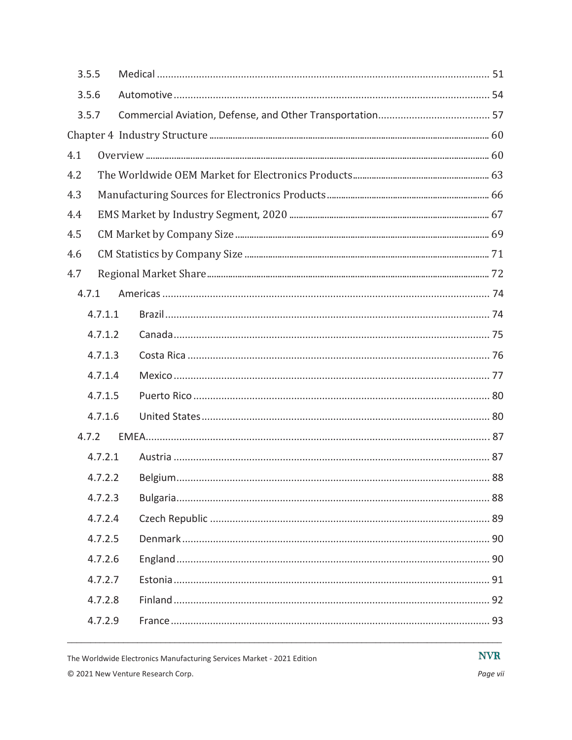| 3.5.5   |  |
|---------|--|
| 3.5.6   |  |
| 3.5.7   |  |
|         |  |
| 4.1     |  |
| 4.2     |  |
| 4.3     |  |
| 4.4     |  |
| 4.5     |  |
| 4.6     |  |
| 4.7     |  |
| 4.7.1   |  |
| 4.7.1.1 |  |
| 4.7.1.2 |  |
| 4.7.1.3 |  |
| 4.7.1.4 |  |
| 4.7.1.5 |  |
| 4.7.1.6 |  |
| 4.7.2   |  |
| 4.7.2.1 |  |
| 4.7.2.2 |  |
| 4.7.2.3 |  |
| 4.7.2.4 |  |
| 4.7.2.5 |  |
| 4.7.2.6 |  |
| 4.7.2.7 |  |
| 4.7.2.8 |  |
| 4.7.2.9 |  |
|         |  |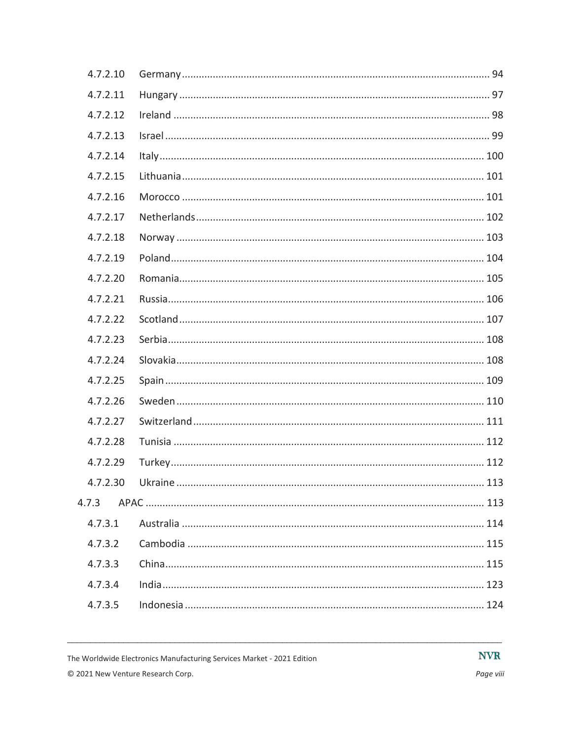|       | 4.7.2.10 |  |
|-------|----------|--|
|       | 4.7.2.11 |  |
|       | 4.7.2.12 |  |
|       | 4.7.2.13 |  |
|       | 4.7.2.14 |  |
|       | 4.7.2.15 |  |
|       | 4.7.2.16 |  |
|       | 4.7.2.17 |  |
|       | 4.7.2.18 |  |
|       | 4.7.2.19 |  |
|       | 4.7.2.20 |  |
|       | 4.7.2.21 |  |
|       | 4.7.2.22 |  |
|       | 4.7.2.23 |  |
|       | 4.7.2.24 |  |
|       | 4.7.2.25 |  |
|       | 4.7.2.26 |  |
|       | 4.7.2.27 |  |
|       | 4.7.2.28 |  |
|       | 4.7.2.29 |  |
|       | 4.7.2.30 |  |
| 4.7.3 |          |  |
|       | 4.7.3.1  |  |
|       | 4.7.3.2  |  |
|       | 4.7.3.3  |  |
|       | 4.7.3.4  |  |
|       | 4.7.3.5  |  |
|       |          |  |

© 2021 New Venture Research Corp.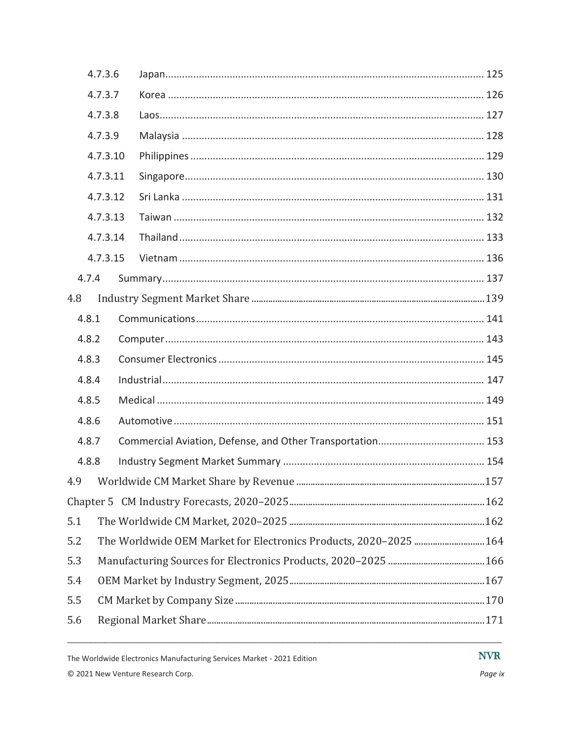|       | 4.7.3.6  |                                                                   |  |
|-------|----------|-------------------------------------------------------------------|--|
|       | 4.7.3.7  |                                                                   |  |
|       | 4.7.3.8  |                                                                   |  |
|       | 4.7.3.9  |                                                                   |  |
|       | 4.7.3.10 |                                                                   |  |
|       | 4.7.3.11 |                                                                   |  |
|       | 4.7.3.12 |                                                                   |  |
|       | 4.7.3.13 |                                                                   |  |
|       | 4.7.3.14 |                                                                   |  |
|       | 4.7.3.15 |                                                                   |  |
| 4.7.4 |          |                                                                   |  |
| 4.8   |          |                                                                   |  |
| 4.8.1 |          |                                                                   |  |
| 4.8.2 |          |                                                                   |  |
| 4.8.3 |          |                                                                   |  |
| 4.8.4 |          |                                                                   |  |
| 4.8.5 |          |                                                                   |  |
| 4.8.6 |          |                                                                   |  |
| 4.8.7 |          |                                                                   |  |
| 4.8.8 |          |                                                                   |  |
| 4.9   |          |                                                                   |  |
|       |          |                                                                   |  |
| 5.1   |          |                                                                   |  |
| 5.2   |          | The Worldwide OEM Market for Electronics Products, 2020-2025  164 |  |
| 5.3   |          |                                                                   |  |
| 5.4   |          |                                                                   |  |
| 5.5   |          |                                                                   |  |
| 5.6   |          |                                                                   |  |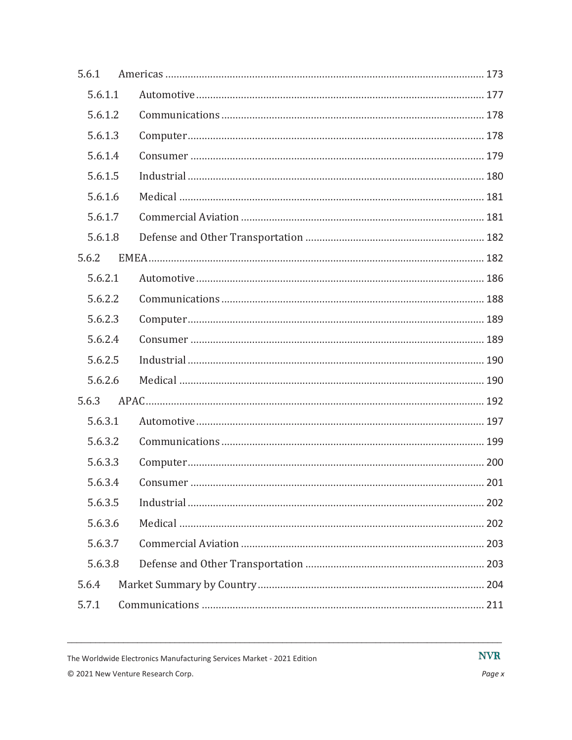| 5.6.1   |  |
|---------|--|
| 5.6.1.1 |  |
| 5.6.1.2 |  |
| 5.6.1.3 |  |
| 5.6.1.4 |  |
| 5.6.1.5 |  |
| 5.6.1.6 |  |
| 5.6.1.7 |  |
| 5.6.1.8 |  |
| 5.6.2   |  |
| 5.6.2.1 |  |
| 5.6.2.2 |  |
| 5.6.2.3 |  |
| 5.6.2.4 |  |
| 5.6.2.5 |  |
| 5.6.2.6 |  |
| 5.6.3   |  |
| 5.6.3.1 |  |
| 5.6.3.2 |  |
| 5.6.3.3 |  |
| 5.6.3.4 |  |
| 5.6.3.5 |  |
| 5.6.3.6 |  |
| 5.6.3.7 |  |
| 5.6.3.8 |  |
| 5.6.4   |  |
| 5.7.1   |  |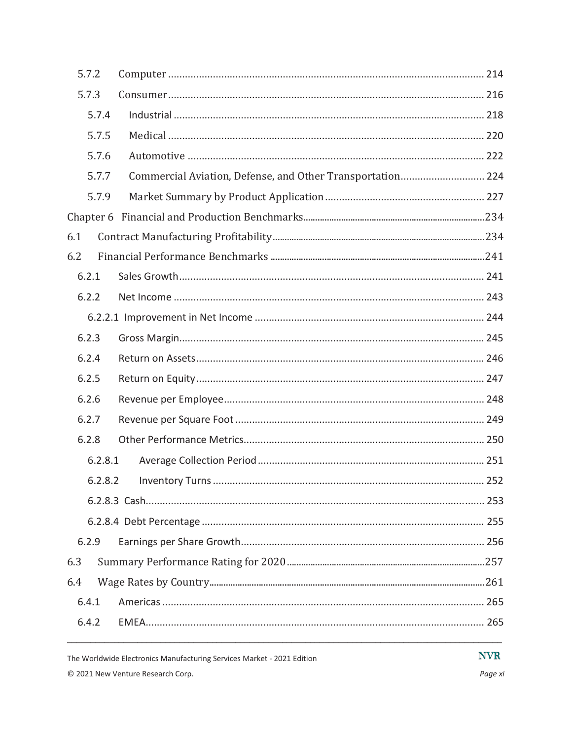| 5.7.2   |                                                            |  |
|---------|------------------------------------------------------------|--|
| 5.7.3   |                                                            |  |
| 5.7.4   |                                                            |  |
| 5.7.5   |                                                            |  |
| 5.7.6   |                                                            |  |
| 5.7.7   | Commercial Aviation, Defense, and Other Transportation 224 |  |
| 5.7.9   |                                                            |  |
|         |                                                            |  |
| 6.1     |                                                            |  |
| 6.2     |                                                            |  |
| 6.2.1   |                                                            |  |
| 6.2.2   |                                                            |  |
|         |                                                            |  |
| 6.2.3   |                                                            |  |
| 6.2.4   |                                                            |  |
| 6.2.5   |                                                            |  |
| 6.2.6   |                                                            |  |
| 6.2.7   |                                                            |  |
| 6.2.8   |                                                            |  |
| 6.2.8.1 |                                                            |  |
| 6.2.8.2 |                                                            |  |
|         |                                                            |  |
|         |                                                            |  |
| 6.2.9   |                                                            |  |
| 6.3     |                                                            |  |
| 6.4     |                                                            |  |
| 6.4.1   |                                                            |  |
| 6.4.2   |                                                            |  |
|         |                                                            |  |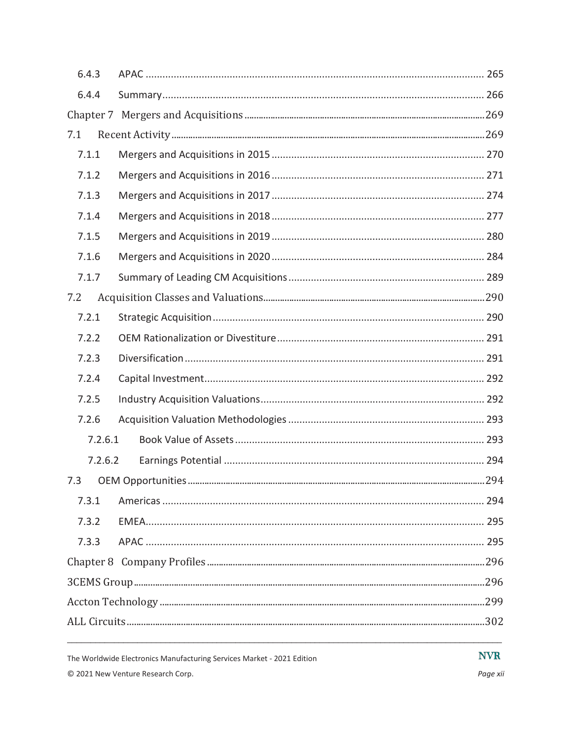| 6.4.3   |  |  |  |
|---------|--|--|--|
| 6.4.4   |  |  |  |
|         |  |  |  |
| 7.1     |  |  |  |
| 7.1.1   |  |  |  |
| 7.1.2   |  |  |  |
| 7.1.3   |  |  |  |
| 7.1.4   |  |  |  |
| 7.1.5   |  |  |  |
| 7.1.6   |  |  |  |
| 7.1.7   |  |  |  |
| 7.2     |  |  |  |
| 7.2.1   |  |  |  |
| 7.2.2   |  |  |  |
| 7.2.3   |  |  |  |
| 7.2.4   |  |  |  |
| 7.2.5   |  |  |  |
| 7.2.6   |  |  |  |
| 7.2.6.1 |  |  |  |
| 7.2.6.2 |  |  |  |
| 7.3     |  |  |  |
| 7.3.1   |  |  |  |
| 7.3.2   |  |  |  |
| 7.3.3   |  |  |  |
|         |  |  |  |
|         |  |  |  |
|         |  |  |  |
|         |  |  |  |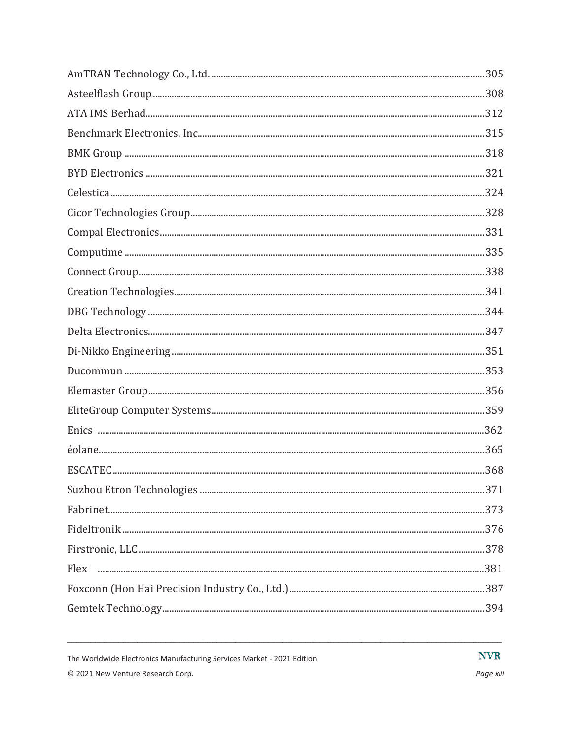| Flex |  |
|------|--|
|      |  |
|      |  |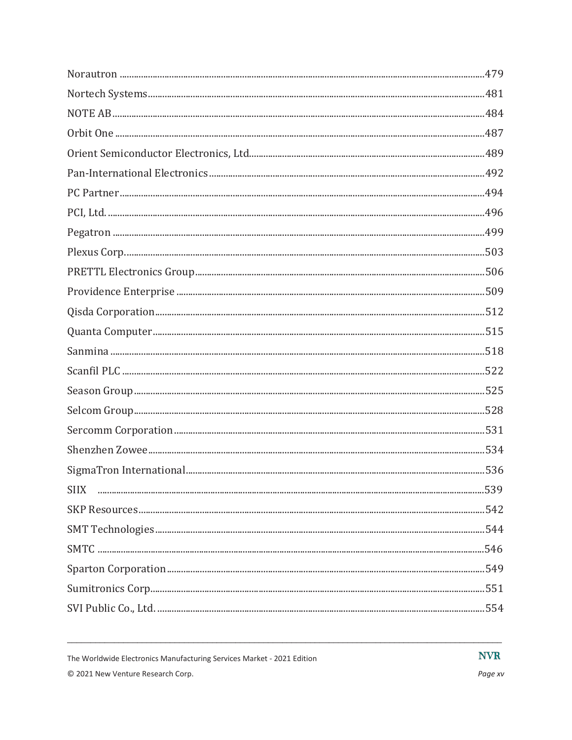| <b>SIIX</b> |  |
|-------------|--|
|             |  |
|             |  |
|             |  |
|             |  |
|             |  |
|             |  |

© 2021 New Venture Research Corp.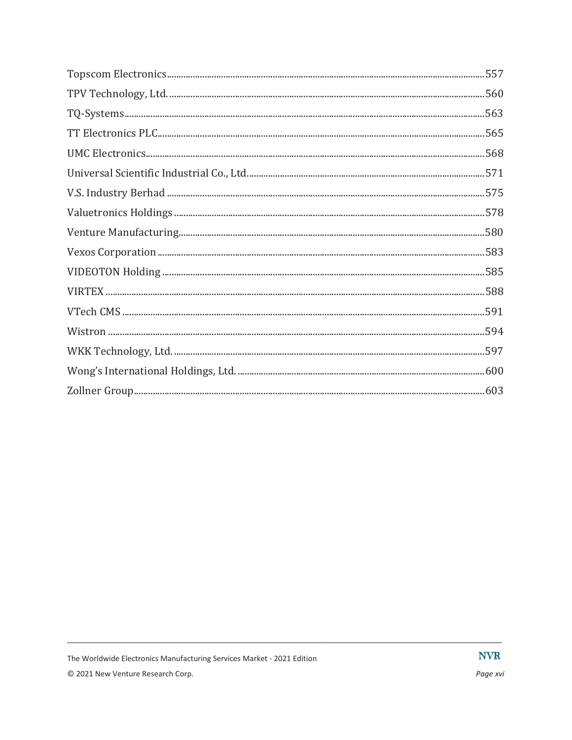**NVR**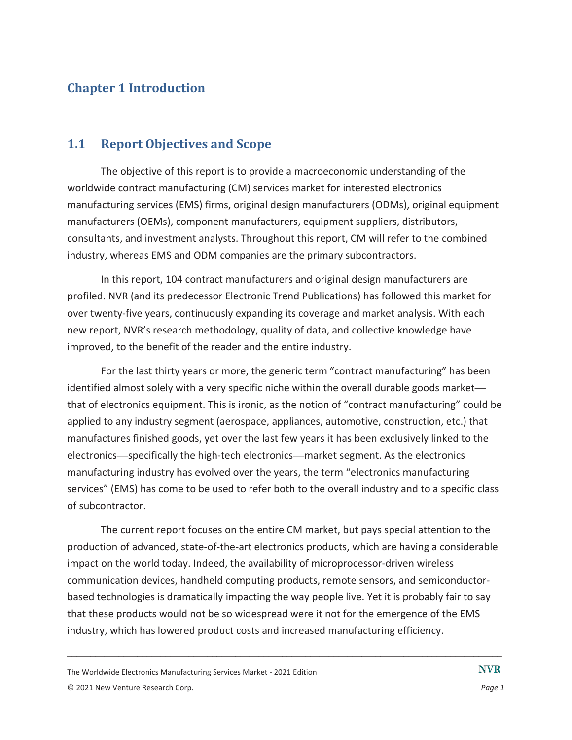# **Chapter 1 Introduction**

## **1.1 Report Objectives and Scope**

The objective of this report is to provide a macroeconomic understanding of the worldwide contract manufacturing (CM) services market for interested electronics manufacturing services (EMS) firms, original design manufacturers (ODMs), original equipment manufacturers (OEMs), component manufacturers, equipment suppliers, distributors, consultants, and investment analysts. Throughout this report, CM will refer to the combined industry, whereas EMS and ODM companies are the primary subcontractors.

In this report, 104 contract manufacturers and original design manufacturers are profiled. NVR (and its predecessor Electronic Trend Publications) has followed this market for over twenty-five years, continuously expanding its coverage and market analysis. With each new report, NVR's research methodology, quality of data, and collective knowledge have improved, to the benefit of the reader and the entire industry.

For the last thirty years or more, the generic term "contract manufacturing" has been identified almost solely with a very specific niche within the overall durable goods market that of electronics equipment. This is ironic, as the notion of "contract manufacturing" could be applied to any industry segment (aerospace, appliances, automotive, construction, etc.) that manufactures finished goods, yet over the last few years it has been exclusively linked to the electronics—specifically the high-tech electronics—market segment. As the electronics manufacturing industry has evolved over the years, the term "electronics manufacturing services" (EMS) has come to be used to refer both to the overall industry and to a specific class of subcontractor.

The current report focuses on the entire CM market, but pays special attention to the production of advanced, state-of-the-art electronics products, which are having a considerable impact on the world today. Indeed, the availability of microprocessor-driven wireless communication devices, handheld computing products, remote sensors, and semiconductorbased technologies is dramatically impacting the way people live. Yet it is probably fair to say that these products would not be so widespread were it not for the emergence of the EMS industry, which has lowered product costs and increased manufacturing efficiency.

 $\Box$ 

The Worldwide Electronics Manufacturing Services Market - 2021 Edition

© 2021 New Venture Research Corp. *Page 1*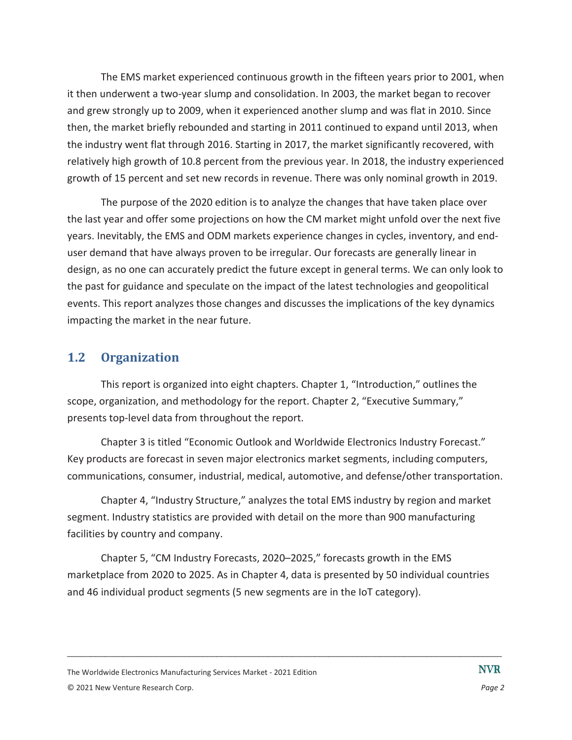The EMS market experienced continuous growth in the fifteen years prior to 2001, when it then underwent a two-year slump and consolidation. In 2003, the market began to recover and grew strongly up to 2009, when it experienced another slump and was flat in 2010. Since then, the market briefly rebounded and starting in 2011 continued to expand until 2013, when the industry went flat through 2016. Starting in 2017, the market significantly recovered, with relatively high growth of 10.8 percent from the previous year. In 2018, the industry experienced growth of 15 percent and set new records in revenue. There was only nominal growth in 2019.

The purpose of the 2020 edition is to analyze the changes that have taken place over the last year and offer some projections on how the CM market might unfold over the next five years. Inevitably, the EMS and ODM markets experience changes in cycles, inventory, and enduser demand that have always proven to be irregular. Our forecasts are generally linear in design, as no one can accurately predict the future except in general terms. We can only look to the past for guidance and speculate on the impact of the latest technologies and geopolitical events. This report analyzes those changes and discusses the implications of the key dynamics impacting the market in the near future.

#### **1.2 Organization**

This report is organized into eight chapters. Chapter 1, "Introduction," outlines the scope, organization, and methodology for the report. Chapter 2, "Executive Summary," presents top-level data from throughout the report.

Chapter 3 is titled "Economic Outlook and Worldwide Electronics Industry Forecast." Key products are forecast in seven major electronics market segments, including computers, communications, consumer, industrial, medical, automotive, and defense/other transportation.

Chapter 4, "Industry Structure," analyzes the total EMS industry by region and market segment. Industry statistics are provided with detail on the more than 900 manufacturing facilities by country and company.

Chapter 5, "CM Industry Forecasts, 2020–2025," forecasts growth in the EMS marketplace from 2020 to 2025. As in Chapter 4, data is presented by 50 individual countries and 46 individual product segments (5 new segments are in the IoT category).

 $\Box$ 

The Worldwide Electronics Manufacturing Services Market - 2021 Edition

© 2021 New Venture Research Corp. *Page 2*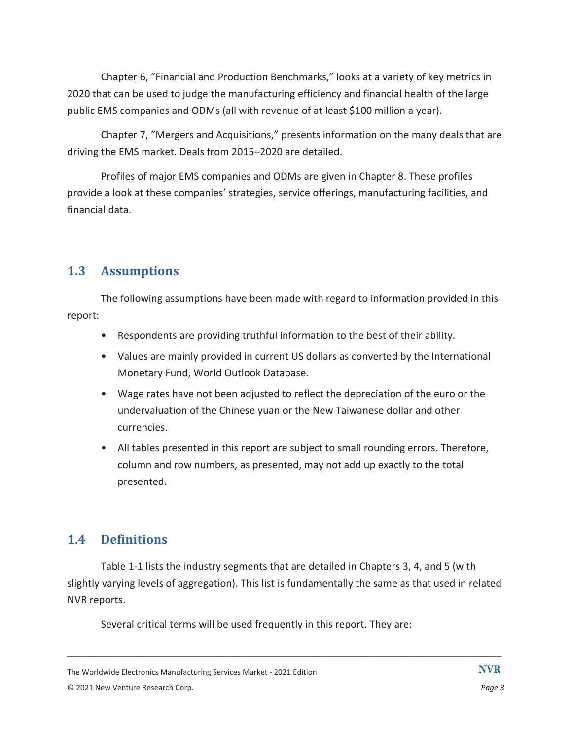Chapter 6, "Financial and Production Benchmarks," looks at a variety of key metrics in 2020 that can be used to judge the manufacturing efficiency and financial health of the large public EMS companies and ODMs (all with revenue of at least \$100 million a year).

Chapter 7, "Mergers and Acquisitions," presents information on the many deals that are driving the EMS market. Deals from 2015–2020 are detailed.

Profiles of major EMS companies and ODMs are given in Chapter 8. These profiles provide a look at these companies' strategies, service offerings, manufacturing facilities, and financial data.

#### **1.3 Assumptions**

The following assumptions have been made with regard to information provided in this report:

- Respondents are providing truthful information to the best of their ability.
- Values are mainly provided in current US dollars as converted by the International Monetary Fund, World Outlook Database.
- Wage rates have not been adjusted to reflect the depreciation of the euro or the undervaluation of the Chinese yuan or the New Taiwanese dollar and other currencies.
- All tables presented in this report are subject to small rounding errors. Therefore, column and row numbers, as presented, may not add up exactly to the total presented.

# **1.4 Definitions**

Table 1-1 lists the industry segments that are detailed in Chapters 3, 4, and 5 (with slightly varying levels of aggregation). This list is fundamentally the same as that used in related NVR reports.

 $\Box$ 

Several critical terms will be used frequently in this report. They are:

The Worldwide Electronics Manufacturing Services Market - 2021 Edition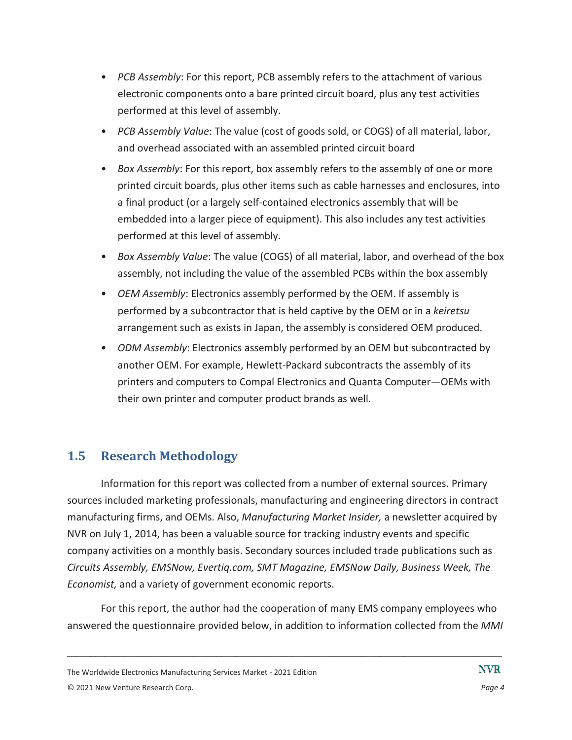- *PCB Assembly*: For this report, PCB assembly refers to the attachment of various electronic components onto a bare printed circuit board, plus any test activities performed at this level of assembly.
- *PCB Assembly Value*: The value (cost of goods sold, or COGS) of all material, labor, and overhead associated with an assembled printed circuit board
- *Box Assembly*: For this report, box assembly refers to the assembly of one or more printed circuit boards, plus other items such as cable harnesses and enclosures, into a final product (or a largely self-contained electronics assembly that will be embedded into a larger piece of equipment). This also includes any test activities performed at this level of assembly.
- *Box Assembly Value*: The value (COGS) of all material, labor, and overhead of the box assembly, not including the value of the assembled PCBs within the box assembly
- *OEM Assembly*: Electronics assembly performed by the OEM. If assembly is performed by a subcontractor that is held captive by the OEM or in a *keiretsu* arrangement such as exists in Japan, the assembly is considered OEM produced.
- *ODM Assembly*: Electronics assembly performed by an OEM but subcontracted by another OEM. For example, Hewlett-Packard subcontracts the assembly of its printers and computers to Compal Electronics and Quanta Computer—OEMs with their own printer and computer product brands as well.

# **1.5 Research Methodology**

Information for this report was collected from a number of external sources. Primary sources included marketing professionals, manufacturing and engineering directors in contract manufacturing firms, and OEMs. Also, *Manufacturing Market Insider,* a newsletter acquired by NVR on July 1, 2014, has been a valuable source for tracking industry events and specific company activities on a monthly basis. Secondary sources included trade publications such as *Circuits Assembly, EMSNow, Evertiq.com, SMT Magazine, EMSNow Daily, Business Week, The Economist,* and a variety of government economic reports.

For this report, the author had the cooperation of many EMS company employees who answered the questionnaire provided below, in addition to information collected from the *MMI*

 $\Box$ 

The Worldwide Electronics Manufacturing Services Market - 2021 Edition

© 2021 New Venture Research Corp. *Page 4*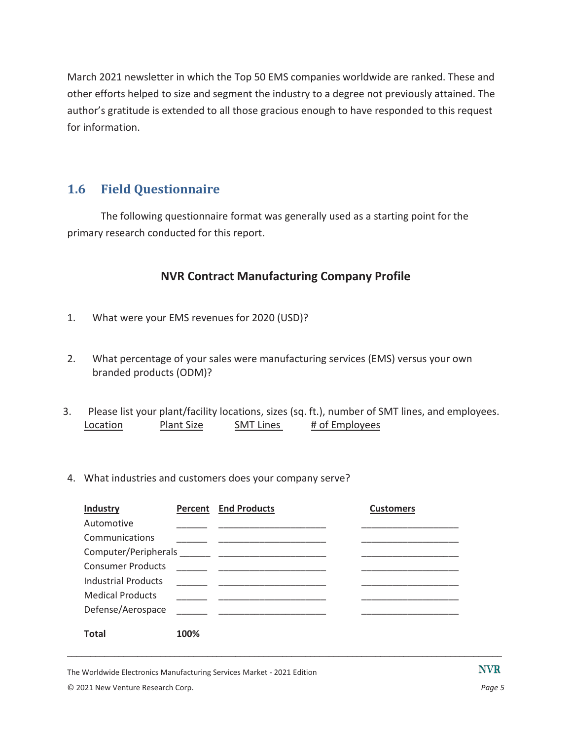March 2021 newsletter in which the Top 50 EMS companies worldwide are ranked. These and other efforts helped to size and segment the industry to a degree not previously attained. The author's gratitude is extended to all those gracious enough to have responded to this request for information.

## **1.6 Field Questionnaire**

The following questionnaire format was generally used as a starting point for the primary research conducted for this report.

#### **NVR Contract Manufacturing Company Profile**

- 1. What were your EMS revenues for 2020 (USD)?
- 2. What percentage of your sales were manufacturing services (EMS) versus your own branded products (ODM)?
- 3. Please list your plant/facility locations, sizes (sq. ft.), number of SMT lines, and employees. Location Plant Size SMT Lines # of Employees
- 4. What industries and customers does your company serve?

| Industry                 |      | <b>Percent</b> End Products | <b>Customers</b> |
|--------------------------|------|-----------------------------|------------------|
| Automotive               |      |                             |                  |
| Communications           |      |                             |                  |
|                          |      |                             |                  |
| <b>Consumer Products</b> |      |                             |                  |
| Industrial Products      |      |                             |                  |
| <b>Medical Products</b>  |      |                             |                  |
| Defense/Aerospace        |      |                             |                  |
|                          |      |                             |                  |
| Total                    | 100% |                             |                  |

 $\Box$ 

The Worldwide Electronics Manufacturing Services Market - 2021 Edition

© 2021 New Venture Research Corp. *Page 5*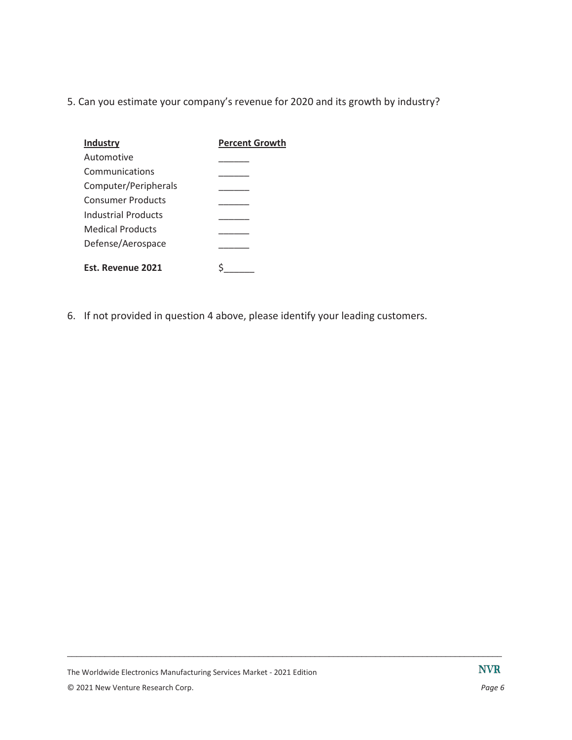5. Can you estimate your company's revenue for 2020 and its growth by industry?

| <b>Industry</b>            | <b>Percent Growth</b> |
|----------------------------|-----------------------|
| Automotive                 |                       |
| Communications             |                       |
| Computer/Peripherals       |                       |
| Consumer Products          |                       |
| <b>Industrial Products</b> |                       |
| <b>Medical Products</b>    |                       |
| Defense/Aerospace          |                       |
| <b>Est. Revenue 2021</b>   |                       |

6. If not provided in question 4 above, please identify your leading customers.

 $\Box$